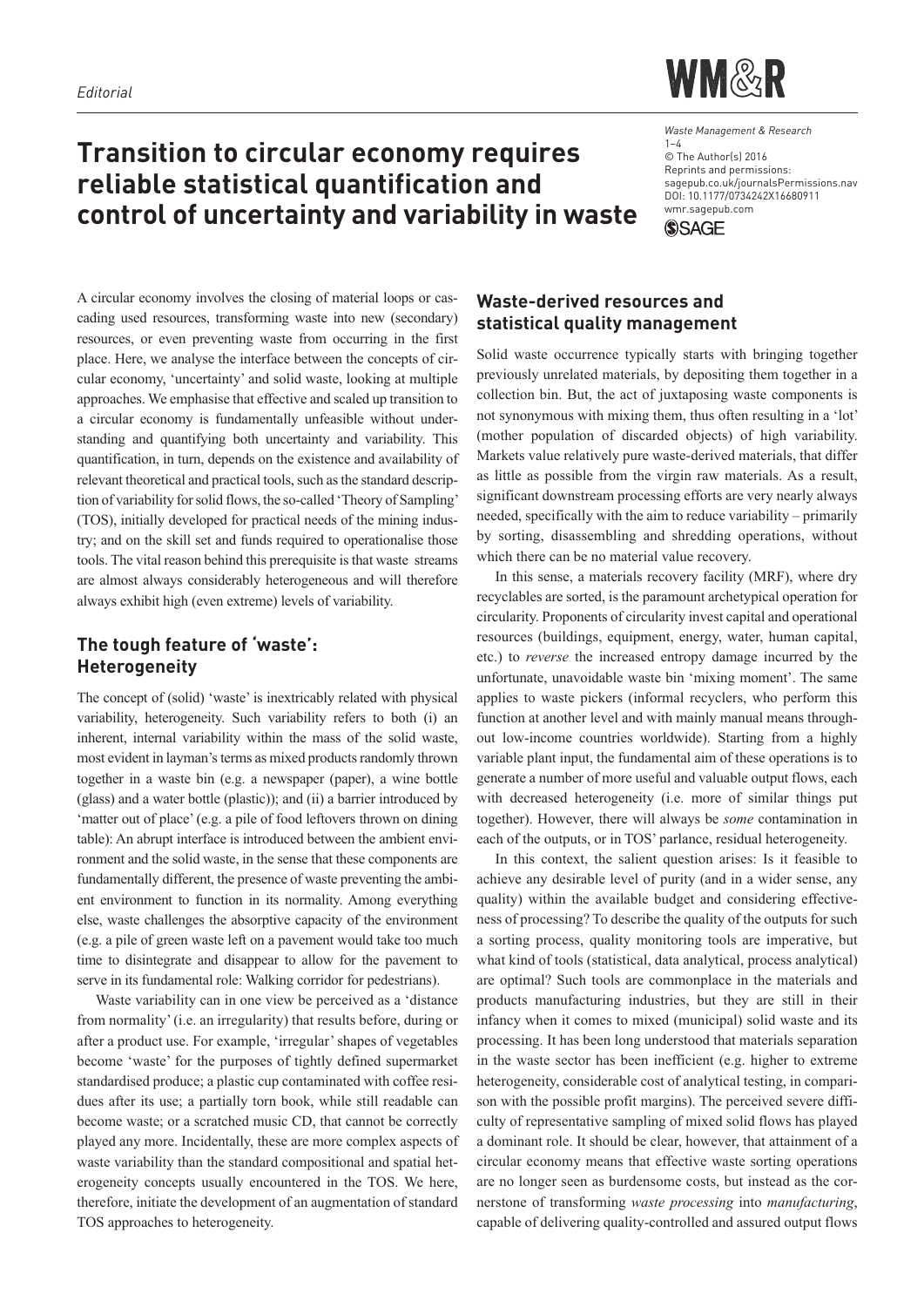# **Transition to circular economy requires reliable statistical quantification and control of uncertainty and variability in waste**



*Waste Management & Research* 1–4 © The Author(s) 2016 Reprints and permissions: sagepub.co.uk/journalsPermissions.nav DOI: 10.1177/0734242X16680911 wmr.sagepub.com **SSAGE** 

A circular economy involves the closing of material loops or cascading used resources, transforming waste into new (secondary) resources, or even preventing waste from occurring in the first place. Here, we analyse the interface between the concepts of circular economy, 'uncertainty' and solid waste, looking at multiple approaches. We emphasise that effective and scaled up transition to a circular economy is fundamentally unfeasible without understanding and quantifying both uncertainty and variability. This quantification, in turn, depends on the existence and availability of relevant theoretical and practical tools, such as the standard description of variability for solid flows, the so-called 'Theory of Sampling' (TOS), initially developed for practical needs of the mining industry; and on the skill set and funds required to operationalise those tools. The vital reason behind this prerequisite is that waste streams are almost always considerably heterogeneous and will therefore always exhibit high (even extreme) levels of variability.

# **The tough feature of 'waste': Heterogeneity**

The concept of (solid) 'waste' is inextricably related with physical variability, heterogeneity. Such variability refers to both (i) an inherent, internal variability within the mass of the solid waste, most evident in layman's terms as mixed products randomly thrown together in a waste bin (e.g. a newspaper (paper), a wine bottle (glass) and a water bottle (plastic)); and (ii) a barrier introduced by 'matter out of place' (e.g. a pile of food leftovers thrown on dining table): An abrupt interface is introduced between the ambient environment and the solid waste, in the sense that these components are fundamentally different, the presence of waste preventing the ambient environment to function in its normality. Among everything else, waste challenges the absorptive capacity of the environment (e.g. a pile of green waste left on a pavement would take too much time to disintegrate and disappear to allow for the pavement to serve in its fundamental role: Walking corridor for pedestrians).

Waste variability can in one view be perceived as a 'distance from normality' (i.e. an irregularity) that results before, during or after a product use. For example, 'irregular' shapes of vegetables become 'waste' for the purposes of tightly defined supermarket standardised produce; a plastic cup contaminated with coffee residues after its use; a partially torn book, while still readable can become waste; or a scratched music CD, that cannot be correctly played any more. Incidentally, these are more complex aspects of waste variability than the standard compositional and spatial heterogeneity concepts usually encountered in the TOS. We here, therefore, initiate the development of an augmentation of standard TOS approaches to heterogeneity.

## **Waste-derived resources and statistical quality management**

Solid waste occurrence typically starts with bringing together previously unrelated materials, by depositing them together in a collection bin. But, the act of juxtaposing waste components is not synonymous with mixing them, thus often resulting in a 'lot' (mother population of discarded objects) of high variability. Markets value relatively pure waste-derived materials, that differ as little as possible from the virgin raw materials. As a result, significant downstream processing efforts are very nearly always needed, specifically with the aim to reduce variability – primarily by sorting, disassembling and shredding operations, without which there can be no material value recovery.

In this sense, a materials recovery facility (MRF), where dry recyclables are sorted, is the paramount archetypical operation for circularity. Proponents of circularity invest capital and operational resources (buildings, equipment, energy, water, human capital, etc.) to *reverse* the increased entropy damage incurred by the unfortunate, unavoidable waste bin 'mixing moment'. The same applies to waste pickers (informal recyclers, who perform this function at another level and with mainly manual means throughout low-income countries worldwide). Starting from a highly variable plant input, the fundamental aim of these operations is to generate a number of more useful and valuable output flows, each with decreased heterogeneity (i.e. more of similar things put together). However, there will always be *some* contamination in each of the outputs, or in TOS' parlance, residual heterogeneity.

In this context, the salient question arises: Is it feasible to achieve any desirable level of purity (and in a wider sense, any quality) within the available budget and considering effectiveness of processing? To describe the quality of the outputs for such a sorting process, quality monitoring tools are imperative, but what kind of tools (statistical, data analytical, process analytical) are optimal? Such tools are commonplace in the materials and products manufacturing industries, but they are still in their infancy when it comes to mixed (municipal) solid waste and its processing. It has been long understood that materials separation in the waste sector has been inefficient (e.g. higher to extreme heterogeneity, considerable cost of analytical testing, in comparison with the possible profit margins). The perceived severe difficulty of representative sampling of mixed solid flows has played a dominant role. It should be clear, however, that attainment of a circular economy means that effective waste sorting operations are no longer seen as burdensome costs, but instead as the cornerstone of transforming *waste processing* into *manufacturing*, capable of delivering quality-controlled and assured output flows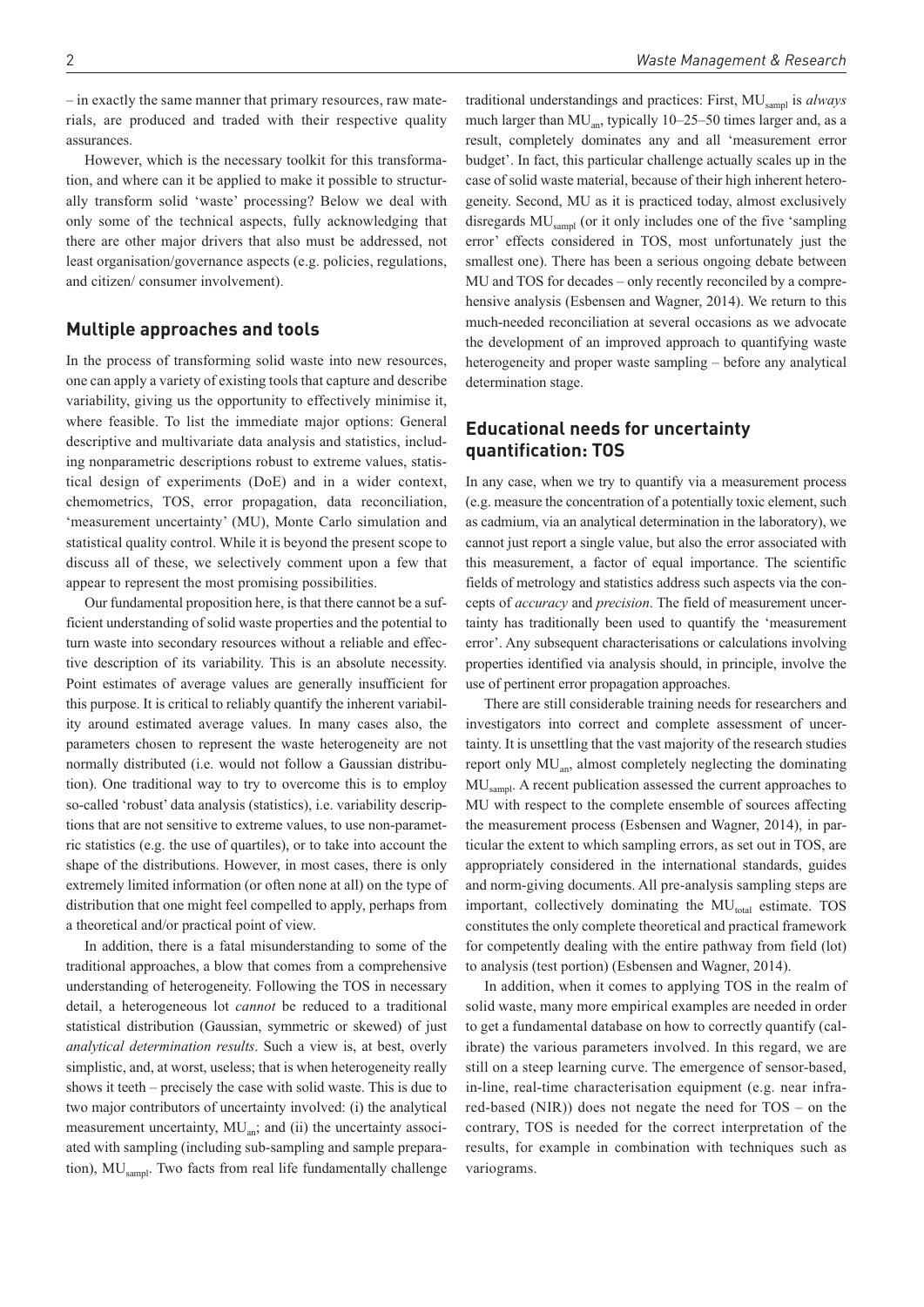– in exactly the same manner that primary resources, raw materials, are produced and traded with their respective quality assurances.

However, which is the necessary toolkit for this transformation, and where can it be applied to make it possible to structurally transform solid 'waste' processing? Below we deal with only some of the technical aspects, fully acknowledging that there are other major drivers that also must be addressed, not least organisation/governance aspects (e.g. policies, regulations, and citizen/ consumer involvement).

#### **Multiple approaches and tools**

In the process of transforming solid waste into new resources, one can apply a variety of existing tools that capture and describe variability, giving us the opportunity to effectively minimise it, where feasible. To list the immediate major options: General descriptive and multivariate data analysis and statistics, including nonparametric descriptions robust to extreme values, statistical design of experiments (DoE) and in a wider context, chemometrics, TOS, error propagation, data reconciliation, 'measurement uncertainty' (MU), Monte Carlo simulation and statistical quality control. While it is beyond the present scope to discuss all of these, we selectively comment upon a few that appear to represent the most promising possibilities.

Our fundamental proposition here, is that there cannot be a sufficient understanding of solid waste properties and the potential to turn waste into secondary resources without a reliable and effective description of its variability. This is an absolute necessity. Point estimates of average values are generally insufficient for this purpose. It is critical to reliably quantify the inherent variability around estimated average values. In many cases also, the parameters chosen to represent the waste heterogeneity are not normally distributed (i.e. would not follow a Gaussian distribution). One traditional way to try to overcome this is to employ so-called 'robust' data analysis (statistics), i.e. variability descriptions that are not sensitive to extreme values, to use non-parametric statistics (e.g. the use of quartiles), or to take into account the shape of the distributions. However, in most cases, there is only extremely limited information (or often none at all) on the type of distribution that one might feel compelled to apply, perhaps from a theoretical and/or practical point of view.

In addition, there is a fatal misunderstanding to some of the traditional approaches, a blow that comes from a comprehensive understanding of heterogeneity. Following the TOS in necessary detail, a heterogeneous lot *cannot* be reduced to a traditional statistical distribution (Gaussian, symmetric or skewed) of just *analytical determination results*. Such a view is, at best, overly simplistic, and, at worst, useless; that is when heterogeneity really shows it teeth – precisely the case with solid waste. This is due to two major contributors of uncertainty involved: (i) the analytical measurement uncertainty,  $MU_{an}$ ; and (ii) the uncertainty associated with sampling (including sub-sampling and sample preparation), MU<sub>sampl</sub>. Two facts from real life fundamentally challenge

traditional understandings and practices: First, MUsampl is *always* much larger than  $MU<sub>an</sub>$ , typically 10–25–50 times larger and, as a result, completely dominates any and all 'measurement error budget'. In fact, this particular challenge actually scales up in the case of solid waste material, because of their high inherent heterogeneity. Second, MU as it is practiced today, almost exclusively disregards MU<sub>sampl</sub> (or it only includes one of the five 'sampling error' effects considered in TOS, most unfortunately just the smallest one). There has been a serious ongoing debate between MU and TOS for decades – only recently reconciled by a comprehensive analysis (Esbensen and Wagner, 2014). We return to this much-needed reconciliation at several occasions as we advocate the development of an improved approach to quantifying waste heterogeneity and proper waste sampling – before any analytical determination stage.

### **Educational needs for uncertainty quantification: TOS**

In any case, when we try to quantify via a measurement process (e.g. measure the concentration of a potentially toxic element, such as cadmium, via an analytical determination in the laboratory), we cannot just report a single value, but also the error associated with this measurement, a factor of equal importance. The scientific fields of metrology and statistics address such aspects via the concepts of *accuracy* and *precision*. The field of measurement uncertainty has traditionally been used to quantify the 'measurement error'. Any subsequent characterisations or calculations involving properties identified via analysis should, in principle, involve the use of pertinent error propagation approaches.

There are still considerable training needs for researchers and investigators into correct and complete assessment of uncertainty. It is unsettling that the vast majority of the research studies report only  $MU<sub>an</sub>$ , almost completely neglecting the dominating MUsampl. A recent publication assessed the current approaches to MU with respect to the complete ensemble of sources affecting the measurement process (Esbensen and Wagner, 2014), in particular the extent to which sampling errors, as set out in TOS, are appropriately considered in the international standards, guides and norm-giving documents. All pre-analysis sampling steps are important, collectively dominating the  $MU<sub>total</sub>$  estimate. TOS constitutes the only complete theoretical and practical framework for competently dealing with the entire pathway from field (lot) to analysis (test portion) (Esbensen and Wagner, 2014).

In addition, when it comes to applying TOS in the realm of solid waste, many more empirical examples are needed in order to get a fundamental database on how to correctly quantify (calibrate) the various parameters involved. In this regard, we are still on a steep learning curve. The emergence of sensor-based, in-line, real-time characterisation equipment (e.g. near infrared-based (NIR)) does not negate the need for TOS – on the contrary, TOS is needed for the correct interpretation of the results, for example in combination with techniques such as variograms.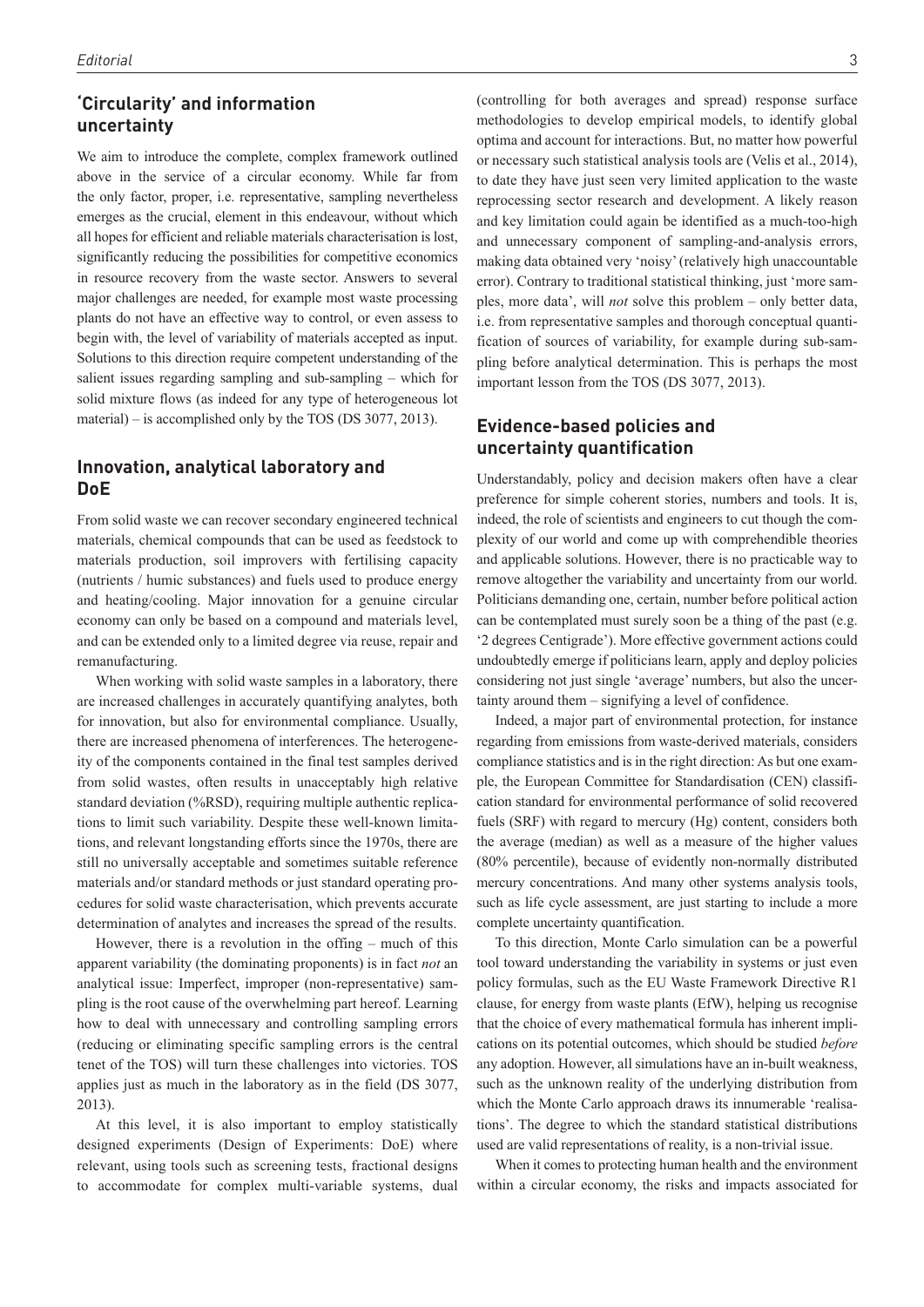#### **'Circularity' and information uncertainty**

We aim to introduce the complete, complex framework outlined above in the service of a circular economy. While far from the only factor, proper, i.e. representative, sampling nevertheless emerges as the crucial, element in this endeavour, without which all hopes for efficient and reliable materials characterisation is lost, significantly reducing the possibilities for competitive economics in resource recovery from the waste sector. Answers to several major challenges are needed, for example most waste processing plants do not have an effective way to control, or even assess to begin with, the level of variability of materials accepted as input. Solutions to this direction require competent understanding of the salient issues regarding sampling and sub-sampling – which for solid mixture flows (as indeed for any type of heterogeneous lot material) – is accomplished only by the TOS (DS 3077, 2013).

#### **Innovation, analytical laboratory and DoE**

From solid waste we can recover secondary engineered technical materials, chemical compounds that can be used as feedstock to materials production, soil improvers with fertilising capacity (nutrients / humic substances) and fuels used to produce energy and heating/cooling. Major innovation for a genuine circular economy can only be based on a compound and materials level, and can be extended only to a limited degree via reuse, repair and remanufacturing.

When working with solid waste samples in a laboratory, there are increased challenges in accurately quantifying analytes, both for innovation, but also for environmental compliance. Usually, there are increased phenomena of interferences. The heterogeneity of the components contained in the final test samples derived from solid wastes, often results in unacceptably high relative standard deviation (%RSD), requiring multiple authentic replications to limit such variability. Despite these well-known limitations, and relevant longstanding efforts since the 1970s, there are still no universally acceptable and sometimes suitable reference materials and/or standard methods or just standard operating procedures for solid waste characterisation, which prevents accurate determination of analytes and increases the spread of the results.

However, there is a revolution in the offing – much of this apparent variability (the dominating proponents) is in fact *not* an analytical issue: Imperfect, improper (non-representative) sampling is the root cause of the overwhelming part hereof. Learning how to deal with unnecessary and controlling sampling errors (reducing or eliminating specific sampling errors is the central tenet of the TOS) will turn these challenges into victories. TOS applies just as much in the laboratory as in the field (DS 3077, 2013).

At this level, it is also important to employ statistically designed experiments (Design of Experiments: DoE) where relevant, using tools such as screening tests, fractional designs to accommodate for complex multi-variable systems, dual methodologies to develop empirical models, to identify global optima and account for interactions. But, no matter how powerful or necessary such statistical analysis tools are (Velis et al., 2014), to date they have just seen very limited application to the waste reprocessing sector research and development. A likely reason and key limitation could again be identified as a much-too-high and unnecessary component of sampling-and-analysis errors, making data obtained very 'noisy' (relatively high unaccountable error). Contrary to traditional statistical thinking, just 'more samples, more data', will *not* solve this problem – only better data, i.e. from representative samples and thorough conceptual quantification of sources of variability, for example during sub-sampling before analytical determination. This is perhaps the most important lesson from the TOS (DS 3077, 2013).

### **Evidence-based policies and uncertainty quantification**

Understandably, policy and decision makers often have a clear preference for simple coherent stories, numbers and tools. It is, indeed, the role of scientists and engineers to cut though the complexity of our world and come up with comprehendible theories and applicable solutions. However, there is no practicable way to remove altogether the variability and uncertainty from our world. Politicians demanding one, certain, number before political action can be contemplated must surely soon be a thing of the past (e.g. '2 degrees Centigrade'). More effective government actions could undoubtedly emerge if politicians learn, apply and deploy policies considering not just single 'average' numbers, but also the uncertainty around them – signifying a level of confidence.

Indeed, a major part of environmental protection, for instance regarding from emissions from waste-derived materials, considers compliance statistics and is in the right direction: As but one example, the European Committee for Standardisation (CEN) classification standard for environmental performance of solid recovered fuels (SRF) with regard to mercury (Hg) content, considers both the average (median) as well as a measure of the higher values (80% percentile), because of evidently non-normally distributed mercury concentrations. And many other systems analysis tools, such as life cycle assessment, are just starting to include a more complete uncertainty quantification.

To this direction, Monte Carlo simulation can be a powerful tool toward understanding the variability in systems or just even policy formulas, such as the EU Waste Framework Directive R1 clause, for energy from waste plants (EfW), helping us recognise that the choice of every mathematical formula has inherent implications on its potential outcomes, which should be studied *before* any adoption. However, all simulations have an in-built weakness, such as the unknown reality of the underlying distribution from which the Monte Carlo approach draws its innumerable 'realisations'. The degree to which the standard statistical distributions used are valid representations of reality, is a non-trivial issue.

When it comes to protecting human health and the environment within a circular economy, the risks and impacts associated for